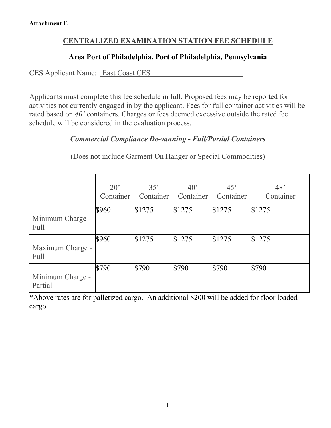# **CENTRALIZED EXAMINATION STATION FEE SCHEDULE**

### **Area Port of Philadelphia, Port of Philadelphia, Pennsylvania**

CES Applicant Name: East Coast CES

Applicants must complete this fee schedule in full. Proposed fees may be reported for activities not currently engaged in by the applicant. Fees for full container activities will be rated based on *40'* containers. Charges or fees deemed excessive outside the rated fee schedule will be considered in the evaluation process.

# *Commercial Compliance De-vanning* **-** *Full/Partial Containers*

(Does not include Garment On Hanger or Special Commodities)

|                             | $20^{\circ}$<br>Container | 35'<br>Container | 40 <sup>o</sup><br>Container | 45'<br>Container | 48 <sup>°</sup><br>Container |
|-----------------------------|---------------------------|------------------|------------------------------|------------------|------------------------------|
| Minimum Charge -<br>Full    | \$960                     | \$1275           | \$1275                       | \$1275           | \$1275                       |
| Maximum Charge -<br>Full    | \$960                     | \$1275           | \$1275                       | \$1275           | \$1275                       |
| Minimum Charge -<br>Partial | \$790                     | \$790            | \$790                        | \$790            | \$790                        |

\*Above rates are for palletized cargo. An additional \$200 will be added for floor loaded cargo.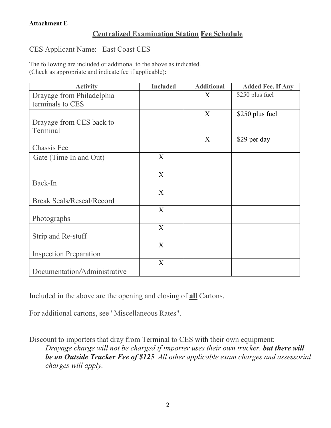# **Centralized Examination Station Fee Schedule**

#### CES Applicant Name: East Coast CES

The following are included or additional to the above as indicated. (Check as appropriate and indicate fee if applicable):

| <b>Activity</b>                  | <b>Included</b> | <b>Additional</b> | <b>Added Fee, If Any</b> |
|----------------------------------|-----------------|-------------------|--------------------------|
| Drayage from Philadelphia        |                 | X                 | \$250 plus fuel          |
| terminals to CES                 |                 |                   |                          |
|                                  |                 | $\mathbf{X}$      | \$250 plus fuel          |
| Drayage from CES back to         |                 |                   |                          |
| Terminal                         |                 |                   |                          |
|                                  |                 | $\boldsymbol{X}$  | \$29 per day             |
| Chassis Fee                      |                 |                   |                          |
| Gate (Time In and Out)           | X               |                   |                          |
|                                  | X               |                   |                          |
| Back-In                          |                 |                   |                          |
|                                  | X               |                   |                          |
| <b>Break Seals/Reseal/Record</b> |                 |                   |                          |
|                                  | X               |                   |                          |
| Photographs                      |                 |                   |                          |
|                                  | X               |                   |                          |
| Strip and Re-stuff               |                 |                   |                          |
|                                  | X               |                   |                          |
| <b>Inspection Preparation</b>    |                 |                   |                          |
|                                  | X               |                   |                          |
| Documentation/Administrative     |                 |                   |                          |

Included in the above are the opening and closing of **all** Cartons.

For additional cartons, see "Miscellaneous Rates".

Discount to importers that dray from Terminal to CES with their own equipment: *Drayage charge will not be charged if importer uses their own trucker, but there will be an Outside Trucker Fee of \$125. All other applicable exam charges and assessorial charges will apply.*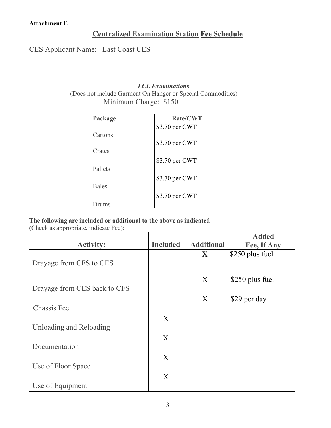### **Centralized Examination Station Fee Schedule**

CES Applicant Name: East Coast CES

#### *LCL Examinations* (Does not include Garment On Hanger or Special Commodities) Minimum Charge: \$150

| Package      | <b>Rate/CWT</b> |
|--------------|-----------------|
|              | \$3.70 per CWT  |
| Cartons      |                 |
|              | \$3.70 per CWT  |
| Crates       |                 |
|              | \$3.70 per CWT  |
| Pallets      |                 |
|              | \$3.70 per CWT  |
| <b>Bales</b> |                 |
|              | \$3.70 per CWT  |
| rums         |                 |

#### **The following are included or additional to the above as indicated**

(Check as appropriate, indicate Fee):

|                              |                 |                   | <b>Added</b>    |
|------------------------------|-----------------|-------------------|-----------------|
| <b>Activity:</b>             | <b>Included</b> | <b>Additional</b> | Fee, If Any     |
|                              |                 | X                 | \$250 plus fuel |
| Drayage from CFS to CES      |                 |                   |                 |
|                              |                 |                   |                 |
|                              |                 | X                 | \$250 plus fuel |
| Drayage from CES back to CFS |                 |                   |                 |
|                              |                 | X                 | \$29 per day    |
| <b>Chassis Fee</b>           |                 |                   |                 |
|                              | X               |                   |                 |
| Unloading and Reloading      |                 |                   |                 |
|                              | X               |                   |                 |
| Documentation                |                 |                   |                 |
|                              | X               |                   |                 |
| Use of Floor Space           |                 |                   |                 |
|                              | X               |                   |                 |
| Use of Equipment             |                 |                   |                 |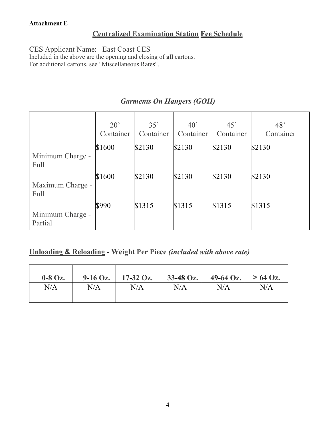# **Centralized Examination Station Fee Schedule**

CES Applicant Name: East Coast CES

Included in the above are the opening and closing of **all** cartons. For additional cartons, see "Miscellaneous Rates".

### *Garments On Hangers (GOH)*

|                             | $20^{\circ}$<br>Container | 35'<br>Container | 40 <sup>o</sup><br>Container | 45'<br>Container | 48 <sup>°</sup><br>Container |
|-----------------------------|---------------------------|------------------|------------------------------|------------------|------------------------------|
|                             | \$1600                    | \$2130           | \$2130                       | \$2130           | \$2130                       |
| Minimum Charge -<br>Full    |                           |                  |                              |                  |                              |
| Maximum Charge -<br>Full    | \$1600                    | \$2130           | \$2130                       | \$2130           | \$2130                       |
| Minimum Charge -<br>Partial | \$990                     | \$1315           | \$1315                       | \$1315           | \$1315                       |

### **Unloading & Reloading - Weight Per Piece** *(included with above rate)*

| $0-8$ Oz. | $9-16$ Oz. | $17-32$ Oz. | $33-48$ Oz. | $49-64$ Oz. | $> 64$ Oz. |
|-----------|------------|-------------|-------------|-------------|------------|
| N/A       | $\rm N/A$  | N/A         | N/A         | N/A         | N/A        |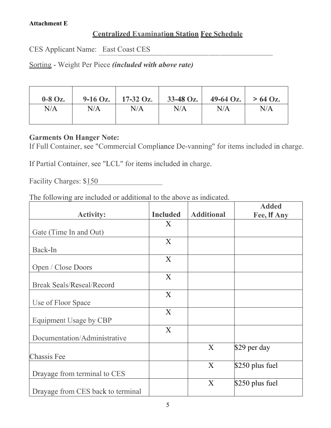### **Centralized Examination Station Fee Schedule**

CES Applicant Name: East Coast CES

Sorting - Weight Per Piece *(included with above rate)*

| $0-8$ Oz. | $9-16$ Oz. | $17-32$ Oz. | $33-48$ Oz. | $49-64$ Oz. | $> 64$ Oz. |
|-----------|------------|-------------|-------------|-------------|------------|
| N/A       | N/A        | N/A         | N/A         | $\rm N/A$   | N/A        |

### **Garments On Hanger Note:**

If Full Container, see "Commercial Compliance De-vanning" for items included in charge.

If Partial Container, see "LCL" for items included in charge.

Facility Charges: \$150 

The following are included or additional to the above as indicated.

| <b>Activity:</b>                  | <b>Included</b> | <b>Additional</b> | <b>Added</b><br>Fee, If Any |
|-----------------------------------|-----------------|-------------------|-----------------------------|
|                                   | X               |                   |                             |
| Gate (Time In and Out)            |                 |                   |                             |
|                                   | X               |                   |                             |
| Back-In                           |                 |                   |                             |
|                                   | X               |                   |                             |
| Open / Close Doors                |                 |                   |                             |
|                                   | X               |                   |                             |
| <b>Break Seals/Reseal/Record</b>  |                 |                   |                             |
|                                   | X               |                   |                             |
| Use of Floor Space                |                 |                   |                             |
|                                   | X               |                   |                             |
| Equipment Usage by CBP            |                 |                   |                             |
|                                   | X               |                   |                             |
| Documentation/Administrative      |                 |                   |                             |
|                                   |                 | X                 | \$29 per day                |
| <b>Chassis Fee</b>                |                 |                   |                             |
|                                   |                 | X                 | $$250$ plus fuel            |
| Drayage from terminal to CES      |                 |                   |                             |
|                                   |                 | X                 | $$250$ plus fuel            |
| Drayage from CES back to terminal |                 |                   |                             |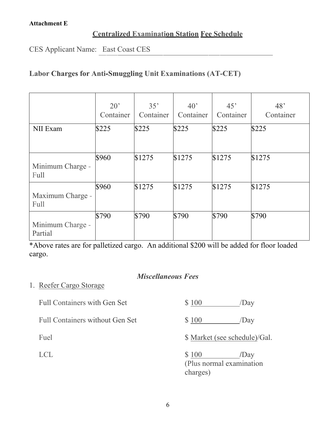### **Centralized Examination Station Fee Schedule**

CES Applicant Name: East Coast CES

# **Labor Charges for Anti-Smuggling Unit Examinations (AT-CET)**

|                                 | $20^{\circ}$<br>Container | 35'<br>Container | 40 <sup>o</sup><br>Container | 45'<br>Container | 48'<br>Container |
|---------------------------------|---------------------------|------------------|------------------------------|------------------|------------------|
| NII Exam                        | \$225                     | \$225            | \$225                        | \$225            | \$225            |
| Minimum Charge -<br>Full        | \$960                     | \$1275           | \$1275                       | \$1275           | \$1275           |
| Maximum Charge -<br><b>Full</b> | \$960                     | \$1275           | \$1275                       | \$1275           | \$1275           |
| Minimum Charge -<br>Partial     | \$790                     | \$790            | \$790                        | \$790            | \$790            |

\*Above rates are for palletized cargo. An additional \$200 will be added for floor loaded cargo.

# *Miscellaneous Fees*

### 1. Reefer Cargo Storage

| <b>Full Containers with Gen Set</b>    | \$100                         | /Day |
|----------------------------------------|-------------------------------|------|
| <b>Full Containers without Gen Set</b> | \$100                         | /Day |
| Fuel                                   | \$ Market (see schedule)/Gal. |      |
| <b>LCI</b>                             | \$100                         | /Dav |

(Plus normal examination charges)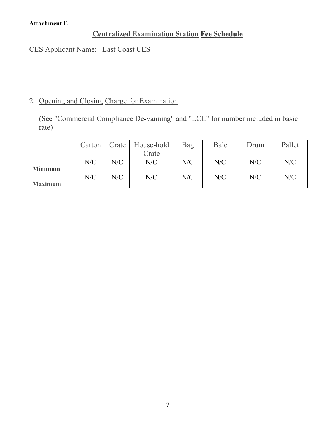# **Centralized Examination Station Fee Schedule**

CES Applicant Name: East Coast CES

# 2. Opening and Closing Charge for Examination

(See "Commercial Compliance De-vanning" and "LCL" for number included in basic rate)

|                | Carton |     | Crate   House-hold | Bag | Bale | Drum | Pallet |
|----------------|--------|-----|--------------------|-----|------|------|--------|
|                |        |     | Crate              |     |      |      |        |
|                | N/C    | N/C | N/C                | N/C | N/C  | N/C  | N/C    |
| <b>Minimum</b> |        |     |                    |     |      |      |        |
|                | N/C    | N/C | N/C                | N/C | N/C  | N/C  | N/C    |
| <b>Maximum</b> |        |     |                    |     |      |      |        |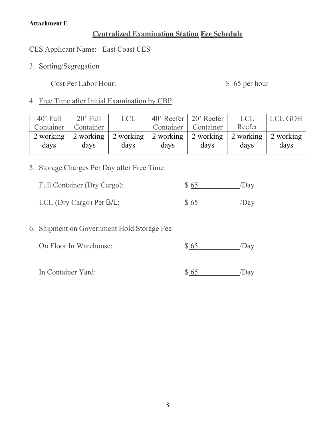### **Centralized Examination Station Fee Schedule**

CES Applicant Name: East Coast CES

3. Sorting/Segregation

Cost Per Labor Hour: \$ 65 per hour

### 4. Free Time after Initial Examination by CBP

| <b>LCL</b> | LCL GOH                                                             |
|------------|---------------------------------------------------------------------|
| Reefer     |                                                                     |
|            | 2 working                                                           |
|            | days                                                                |
|            | 2 working 2 working 2 working 2 working 2 working 2 working<br>days |

# 5. Storage Charges Per Day after Free Time

| Full Container (Dry Cargo): | \$65 | /Day |
|-----------------------------|------|------|
| LCL (Dry Cargo) Per $B/L$ : | \$65 | /Day |

# 6. Shipment on Government Hold Storage Fee

| On Floor In Warehouse: | \$65 | /Day |
|------------------------|------|------|
|                        |      |      |

In Container Yard:  $$65$  /Day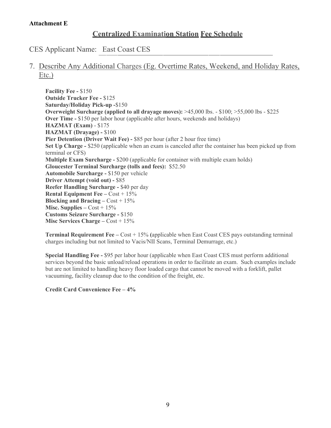#### **Centralized Examination Station Fee Schedule**

CES Applicant Name: East Coast CES

### 7. Describe Any Additional Charges (Eg. Overtime Rates, Weekend, and Holiday Rates, Etc.)

**Facility Fee -** \$150 **Outside Trucker Fee -** \$125 **Saturday/Holiday Pick-up -**\$150 **Overweight Surcharge (applied to all drayage moves):** >45,000 lbs. - \$100; >55,000 lbs - \$225 **Over Time -** \$150 per labor hour (applicable after hours, weekends and holidays) **HAZMAT (Exam)** - \$175 **HAZMAT (Drayage) -** \$100 **Pier Detention (Driver Wait Fee) -** \$85 per hour (after 2 hour free time) **Set Up Charge -** \$250 (applicable when an exam is canceled after the container has been picked up from terminal or CFS) **Multiple Exam Surcharge -** \$200 (applicable for container with multiple exam holds) **Gloucester Terminal Surcharge (tolls and fees):** \$52.50 **Automobile Surcharge -** \$150 per vehicle **Driver Attempt (void out) -** \$85 **Reefer Handling Surcharge -** \$40 per day **Rental Equipment Fee –** Cost + 15% **Blocking and Bracing –** Cost + 15% **Misc. Supplies –**  $Cost + 15\%$ **Customs Seizure Surcharge -** \$150 **Misc Services Charge –** Cost + 15%

**Terminal Requirement Fee –** Cost + 15% **(**applicable when East Coast CES pays outstanding terminal charges including but not limited to Vacis/NII Scans, Terminal Demurrage, etc.)

**Special Handling Fee -** \$95 per labor hour (applicable when East Coast CES must perform additional services beyond the basic unload/reload operations in order to facilitate an exam. Such examples include but are not limited to handling heavy floor loaded cargo that cannot be moved with a forklift, pallet vacuuming, facility cleanup due to the condition of the freight, etc.

**Credit Card Convenience Fee – 4%**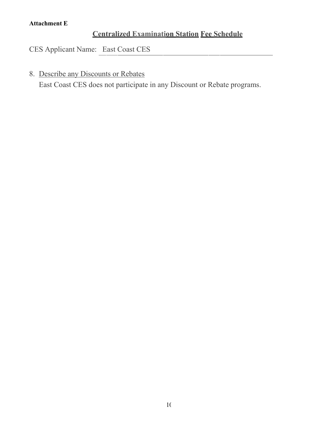# **Centralized Examination Station Fee Schedule**

CES Applicant Name: East Coast CES

# 8. Describe any Discounts or Rebates

East Coast CES does not participate in any Discount or Rebate programs.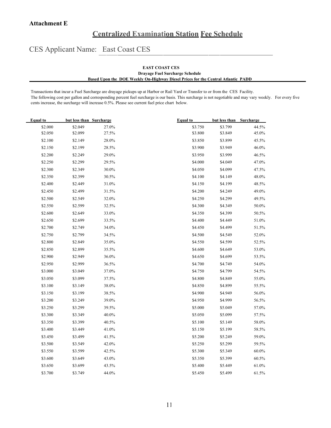### **Centralized Examination Station Fee Schedule**

CES Applicant Name: East Coast CES

#### **EAST COAST CES Drayage Fuel Surcharge Schedule Based Upon the DOE Weekly On-Highway Diesel Prices for the Central Atlantic PADD**

Transactions that incur a Fuel Surcharge are drayage pickups up at Harbor or Rail Yard or Transfer to or from the CES Facility. The following cost per gallon and corresponding percent fuel surcharge is our basis. This surcharge is not negotiable and may vary weekly. For every five cents increase, the surcharge will increase 0.5%. Please see current fuel price chart below.

| <b>Equal</b> to | but less than Surcharge |       | <b>Equal to</b> | but less than | Surcharge |
|-----------------|-------------------------|-------|-----------------|---------------|-----------|
| \$2.000         | \$2.049                 | 27.0% | \$3.750         | \$3.799       | 44.5%     |
| \$2.050         | \$2.099                 | 27.5% | \$3.800         | \$3.849       | 45.0%     |
| \$2.100         | \$2.149                 | 28.0% | \$3.850         | \$3.899       | 45.5%     |
| \$2.150         | \$2.199                 | 28.5% | \$3.900         | \$3.949       | 46.0%     |
| \$2.200         | \$2.249                 | 29.0% | \$3.950         | \$3.999       | 46.5%     |
| \$2.250         | \$2.299                 | 29.5% | \$4.000         | \$4.049       | 47.0%     |
| \$2.300         | \$2.349                 | 30.0% | \$4.050         | \$4.099       | 47.5%     |
| \$2.350         | \$2.399                 | 30.5% | \$4.100         | \$4.149       | 48.0%     |
| \$2.400         | \$2.449                 | 31.0% | \$4.150         | \$4.199       | 48.5%     |
| \$2.450         | \$2.499                 | 31.5% | \$4.200         | \$4.249       | 49.0%     |
| \$2.500         | \$2.549                 | 32.0% | \$4.250         | \$4.299       | 49.5%     |
| \$2.550         | \$2.599                 | 32.5% | \$4.300         | \$4.349       | $50.0\%$  |
| \$2.600         | \$2.649                 | 33.0% | \$4.350         | \$4.399       | 50.5%     |
| \$2.650         | \$2.699                 | 33.5% | \$4.400         | \$4.449       | $51.0\%$  |
| \$2.700         | \$2.749                 | 34.0% | \$4.450         | \$4.499       | 51.5%     |
| \$2.750         | \$2.799                 | 34.5% | \$4.500         | \$4.549       | 52.0%     |
| \$2.800         | \$2.849                 | 35.0% | \$4.550         | \$4.599       | 52.5%     |
| \$2.850         | \$2.899                 | 35.5% | \$4.600         | \$4.649       | 53.0%     |
| \$2.900         | \$2.949                 | 36.0% | \$4.650         | \$4.699       | 53.5%     |
| \$2.950         | \$2.999                 | 36.5% | \$4.700         | \$4.749       | 54.0%     |
| \$3.000         | \$3.049                 | 37.0% | \$4.750         | \$4.799       | 54.5%     |
| \$3.050         | \$3.099                 | 37.5% | \$4.800         | \$4.849       | 55.0%     |
| \$3.100         | \$3.149                 | 38.0% | \$4.850         | \$4.899       | 55.5%     |
| \$3.150         | \$3.199                 | 38.5% | \$4.900         | \$4.949       | 56.0%     |
| \$3.200         | \$3.249                 | 39.0% | \$4.950         | \$4.999       | 56.5%     |
| \$3.250         | \$3.299                 | 39.5% | \$5.000         | \$5.049       | 57.0%     |
| \$3.300         | \$3.349                 | 40.0% | \$5.050         | \$5.099       | 57.5%     |
| \$3.350         | \$3.399                 | 40.5% | \$5.100         | \$5.149       | 58.0%     |
| \$3.400         | \$3.449                 | 41.0% | \$5.150         | \$5.199       | 58.5%     |
| \$3.450         | \$3.499                 | 41.5% | \$5.200         | \$5.249       | 59.0%     |
| \$3.500         | \$3.549                 | 42.0% | \$5.250         | \$5.299       | 59.5%     |
| \$3.550         | \$3.599                 | 42.5% | \$5.300         | \$5.349       | $60.0\%$  |
| \$3.600         | \$3.649                 | 43.0% | \$5.350         | \$5.399       | 60.5%     |
| \$3.650         | \$3.699                 | 43.5% | \$5.400         | \$5.449       | 61.0%     |
| \$3.700         | \$3.749                 | 44.0% | \$5.450         | \$5.499       | 61.5%     |